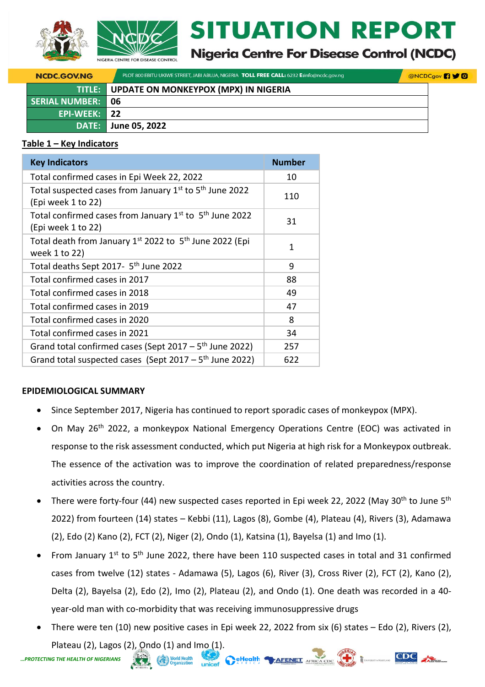



# **ITUATION REPORT**

# **Nigeria Centre For Disease Control (NCDC)**

| <b>NCDC.GOV.NG</b>       | PLOT 800 EBITU UKIWE STREET, JABI ABUJA, NIGERIA TOLL FREE CALL: 6232 E:info@ncdc.gov.ng | <b>@NCDCgov</b> <sup>19</sup> |
|--------------------------|------------------------------------------------------------------------------------------|-------------------------------|
|                          | <b>TITLE:</b> UPDATE ON MONKEYPOX (MPX) IN NIGERIA                                       |                               |
| <b>SERIAL NUMBER: 06</b> |                                                                                          |                               |
| EPI-WEEK: 22             |                                                                                          |                               |
|                          | DATE: June 05, 2022                                                                      |                               |

### **Table 1 – Key Indicators**

| <b>Key Indicators</b>                                                                     | <b>Number</b> |
|-------------------------------------------------------------------------------------------|---------------|
| Total confirmed cases in Epi Week 22, 2022                                                | 10            |
| Total suspected cases from January 1st to 5 <sup>th</sup> June 2022<br>(Epi week 1 to 22) | 110           |
| Total confirmed cases from January $1st$ to $5th$ June 2022<br>(Epi week 1 to 22)         | 31            |
| Total death from January $1^{st}$ 2022 to $5^{th}$ June 2022 (Epi<br>week 1 to 22)        | 1             |
| Total deaths Sept 2017- 5 <sup>th</sup> June 2022                                         | 9             |
| Total confirmed cases in 2017                                                             | 88            |
| Total confirmed cases in 2018                                                             | 49            |
| Total confirmed cases in 2019                                                             | 47            |
| Total confirmed cases in 2020                                                             | 8             |
| Total confirmed cases in 2021                                                             | 34            |
| Grand total confirmed cases (Sept $2017 - 5$ <sup>th</sup> June 2022)                     | 257           |
| Grand total suspected cases (Sept $2017 - 5$ <sup>th</sup> June 2022)                     | 622           |

# **EPIDEMIOLOGICAL SUMMARY**

- Since September 2017, Nigeria has continued to report sporadic cases of monkeypox (MPX).
- On May 26<sup>th</sup> 2022, a monkeypox National Emergency Operations Centre (EOC) was activated in response to the risk assessment conducted, which put Nigeria at high risk for a Monkeypox outbreak. The essence of the activation was to improve the coordination of related preparedness/response activities across the country.
- There were forty-four (44) new suspected cases reported in Epi week 22, 2022 (May 30<sup>th</sup> to June 5<sup>th</sup> 2022) from fourteen (14) states – Kebbi (11), Lagos (8), Gombe (4), Plateau (4), Rivers (3), Adamawa (2), Edo (2) Kano (2), FCT (2), Niger (2), Ondo (1), Katsina (1), Bayelsa (1) and Imo (1).
- From January 1<sup>st</sup> to 5<sup>th</sup> June 2022, there have been 110 suspected cases in total and 31 confirmed cases from twelve (12) states - Adamawa (5), Lagos (6), River (3), Cross River (2), FCT (2), Kano (2), Delta (2), Bayelsa (2), Edo (2), Imo (2), Plateau (2), and Ondo (1). One death was recorded in a 40 year-old man with co-morbidity that was receiving immunosuppressive drugs
- There were ten (10) new positive cases in Epi week 22, 2022 from six (6) states Edo (2), Rivers (2), Plateau (2), Lagos (2), Ondo (1) and Imo (1).<br> **G THE HEALTH OF NIGERIANS**



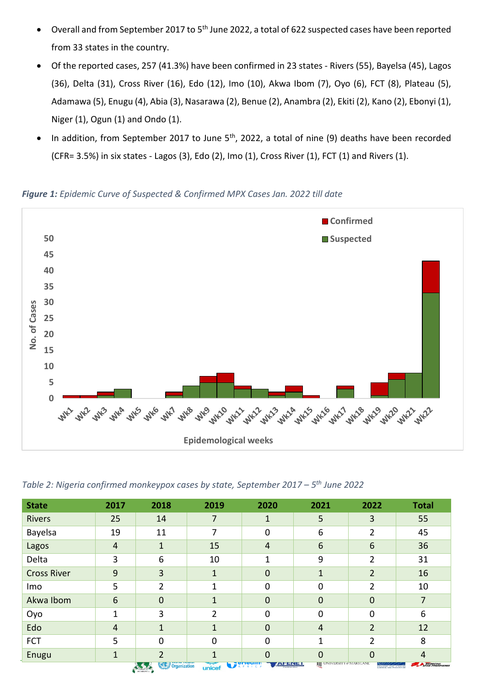- Overall and from September 2017 to 5<sup>th</sup> June 2022, a total of 622 suspected cases have been reported from 33 states in the country.
- Of the reported cases, 257 (41.3%) have been confirmed in 23 states Rivers (55), Bayelsa (45), Lagos (36), Delta (31), Cross River (16), Edo (12), Imo (10), Akwa Ibom (7), Oyo (6), FCT (8), Plateau (5), Adamawa (5), Enugu (4), Abia (3), Nasarawa (2), Benue (2), Anambra (2), Ekiti (2), Kano (2), Ebonyi (1), Niger (1), Ogun (1) and Ondo (1).
- In addition, from September 2017 to June  $5<sup>th</sup>$ , 2022, a total of nine (9) deaths have been recorded (CFR= 3.5%) in six states - Lagos (3), Edo (2), Imo (1), Cross River (1), FCT (1) and Rivers (1).

*Figure 1: Epidemic Curve of Suspected & Confirmed MPX Cases Jan. 2022 till date*



*Table 2: Nigeria confirmed monkeypox cases by state, September 2017 – 5 th June 2022*

| <b>State</b>       | 2017            | 2018                   | 2019           | 2020                 | 2021                              | 2022                | <b>Total</b> |
|--------------------|-----------------|------------------------|----------------|----------------------|-----------------------------------|---------------------|--------------|
| <b>Rivers</b>      | 25              | 14                     | 7              | $\mathbf{1}$         | 5                                 | 3                   | 55           |
| Bayelsa            | 19              | 11                     | 7              | 0                    | 6                                 | 2                   | 45           |
| Lagos              | $\overline{4}$  | 1                      | 15             | $\overline{4}$       | 6                                 | 6                   | 36           |
| Delta              | 3               | 6                      | 10             |                      | 9                                 | 2                   | 31           |
| <b>Cross River</b> | 9               | 3                      | 1              | $\mathbf 0$          | 1                                 | $\overline{2}$      | 16           |
| Imo                | 5               | $\overline{2}$         |                | 0                    | 0                                 | 2                   | 10           |
| Akwa Ibom          | $6\phantom{1}6$ | 0                      | 1              | $\overline{0}$       | $\mathbf 0$                       | $\mathbf 0$         | 7            |
| Oyo                | 1               | 3                      | $\overline{2}$ | $\overline{0}$       | $\mathbf 0$                       | $\Omega$            | 6            |
| Edo                | 4               | 1                      | 1              | $\overline{0}$       | $\overline{4}$                    | $\overline{2}$      | 12           |
| <b>FCT</b>         | 5               | 0                      | 0              | 0                    |                                   | 2                   | 8            |
| Enugu              | 1               |                        |                | $\Omega$             | 0                                 | 0                   | 4            |
|                    |                 | Organization<br>$\sum$ | unicef         | $\sum_{k}$<br>ALENEL | <b>III</b> UNIVERSITY OF MARYLAND | CENTERS FOR BIREARE | MEDECINS     |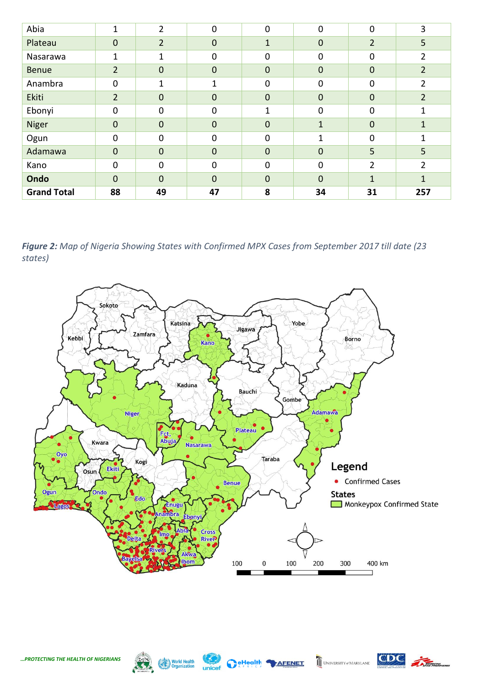| Abia               | 1              | $\overline{2}$ | $\mathbf 0$  | $\mathbf 0$      | 0            | $\mathbf 0$    | 3              |
|--------------------|----------------|----------------|--------------|------------------|--------------|----------------|----------------|
| Plateau            | 0              | $\overline{2}$ | $\mathbf{0}$ | $\mathbf{1}$     | $\mathbf{0}$ | $\overline{2}$ | 5              |
| Nasarawa           | 1              | 1              | $\Omega$     | 0                | $\mathbf 0$  | $\mathbf 0$    | $\overline{2}$ |
| <b>Benue</b>       | $\overline{2}$ | $\mathbf 0$    | $\mathbf{0}$ | $\boldsymbol{0}$ | $\mathbf 0$  | $\mathbf 0$    | $\overline{2}$ |
| Anambra            | 0              | 1              | 1            | 0                | $\mathbf 0$  | $\mathbf 0$    | $\overline{2}$ |
| Ekiti              | $\overline{2}$ | $\mathbf 0$    | $\mathbf{0}$ | $\mathbf 0$      | $\mathbf 0$  | $\mathbf 0$    | $\overline{2}$ |
| Ebonyi             | 0              | $\mathbf 0$    | $\Omega$     | 1                | $\mathbf 0$  | $\mathbf 0$    | 1              |
| <b>Niger</b>       | 0              | $\mathbf 0$    | $\mathbf{0}$ | $\boldsymbol{0}$ | $\mathbf{1}$ | $\mathbf 0$    | $\mathbf{1}$   |
| Ogun               | 0              | $\mathbf 0$    | $\Omega$     | $\mathbf 0$      | $\mathbf{1}$ | $\mathbf 0$    | 1              |
| Adamawa            | 0              | $\mathbf 0$    | $\Omega$     | $\mathbf 0$      | $\mathbf 0$  | 5              | 5              |
| Kano               | 0              | $\mathbf 0$    | $\mathbf 0$  | $\mathbf 0$      | $\mathbf 0$  | $\overline{2}$ | $\overline{2}$ |
| Ondo               | 0              | $\mathbf 0$    | $\mathbf 0$  | $\mathbf 0$      | $\mathbf{0}$ | 1              | $\mathbf{1}$   |
| <b>Grand Total</b> | 88             | 49             | 47           | 8                | 34           | 31             | 257            |

*Figure 2: Map of Nigeria Showing States with Confirmed MPX Cases from September 2017 till date (23 states)*





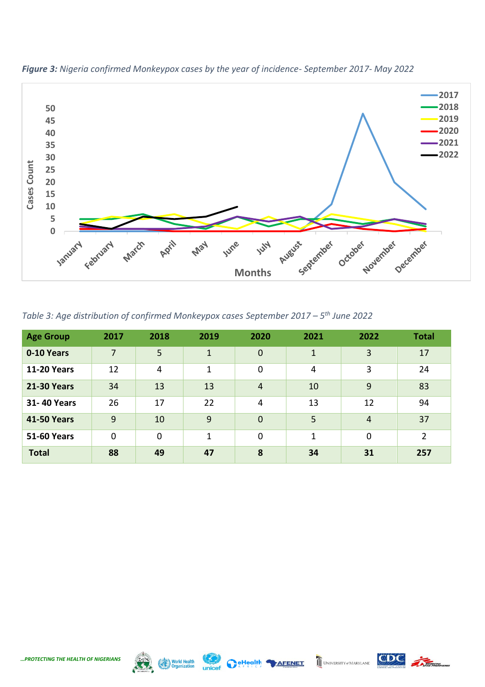

*Figure 3: Nigeria confirmed Monkeypox cases by the year of incidence- September 2017- May 2022*

*Table 3: Age distribution of confirmed Monkeypox cases September 2017 – 5 th June 2022*

| <b>Age Group</b>   | 2017           | 2018        | 2019         | 2020           | 2021         | 2022           | <b>Total</b>   |
|--------------------|----------------|-------------|--------------|----------------|--------------|----------------|----------------|
| 0-10 Years         | $\overline{7}$ | 5           | $\mathbf{1}$ | $\overline{0}$ | $\mathbf{1}$ | 3              | 17             |
| <b>11-20 Years</b> | 12             | 4           | 1            | $\mathbf 0$    | 4            | 3              | 24             |
| <b>21-30 Years</b> | 34             | 13          | 13           | $\overline{4}$ | 10           | 9              | 83             |
| 31-40 Years        | 26             | 17          | 22           | 4              | 13           | 12             | 94             |
| <b>41-50 Years</b> | 9              | 10          | 9            | $\overline{0}$ | 5            | $\overline{4}$ | 37             |
| <b>51-60 Years</b> | $\mathbf 0$    | $\mathbf 0$ | 1            | $\mathbf 0$    | 1            | $\mathbf 0$    | $\overline{2}$ |
| <b>Total</b>       | 88             | 49          | 47           | 8              | 34           | 31             | 257            |



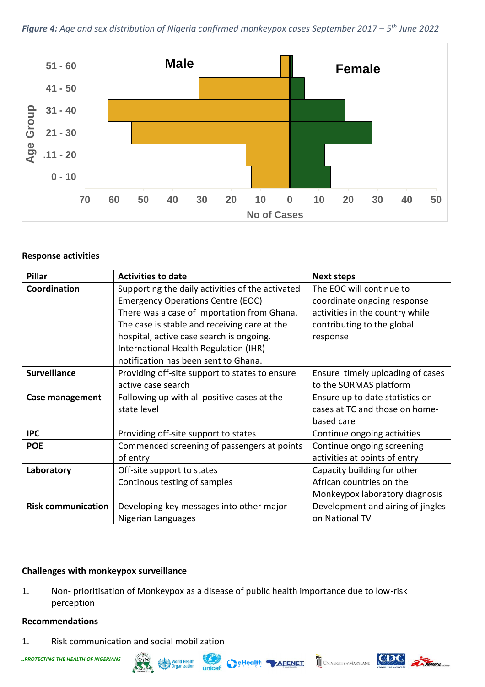



### **Response activities**

| <b>Pillar</b>             | <b>Activities to date</b>                        | <b>Next steps</b>                 |
|---------------------------|--------------------------------------------------|-----------------------------------|
| Coordination              | Supporting the daily activities of the activated | The EOC will continue to          |
|                           | <b>Emergency Operations Centre (EOC)</b>         | coordinate ongoing response       |
|                           | There was a case of importation from Ghana.      | activities in the country while   |
|                           | The case is stable and receiving care at the     | contributing to the global        |
|                           | hospital, active case search is ongoing.         | response                          |
|                           | International Health Regulation (IHR)            |                                   |
|                           | notification has been sent to Ghana.             |                                   |
| <b>Surveillance</b>       | Providing off-site support to states to ensure   | Ensure timely uploading of cases  |
|                           | active case search                               | to the SORMAS platform            |
| Case management           | Following up with all positive cases at the      | Ensure up to date statistics on   |
|                           | state level                                      | cases at TC and those on home-    |
|                           |                                                  | based care                        |
| <b>IPC</b>                | Providing off-site support to states             | Continue ongoing activities       |
| <b>POE</b>                | Commenced screening of passengers at points      | Continue ongoing screening        |
|                           | of entry                                         | activities at points of entry     |
| Laboratory                | Off-site support to states                       | Capacity building for other       |
|                           | Continous testing of samples                     | African countries on the          |
|                           |                                                  | Monkeypox laboratory diagnosis    |
| <b>Risk communication</b> | Developing key messages into other major         | Development and airing of jingles |
|                           | Nigerian Languages                               | on National TV                    |

# **Challenges with monkeypox surveillance**

1. Non- prioritisation of Monkeypox as a disease of public health importance due to low-risk perception

#### **Recommendations**

1. Risk communication and social mobilization



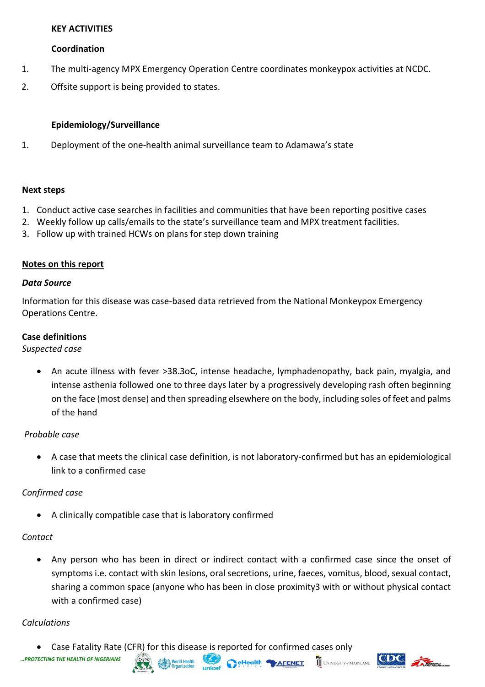# **KEY ACTIVITIES**

# **Coordination**

- 1. The multi-agency MPX Emergency Operation Centre coordinates monkeypox activities at NCDC.
- 2. Offsite support is being provided to states.

# **Epidemiology/Surveillance**

1. Deployment of the one-health animal surveillance team to Adamawa's state

#### **Next steps**

- 1. Conduct active case searches in facilities and communities that have been reporting positive cases
- 2. Weekly follow up calls/emails to the state's surveillance team and MPX treatment facilities.
- 3. Follow up with trained HCWs on plans for step down training

### **Notes on this report**

#### *Data Source*

Information for this disease was case-based data retrieved from the National Monkeypox Emergency Operations Centre.

### **Case definitions**

#### *Suspected case*

• An acute illness with fever >38.3oC, intense headache, lymphadenopathy, back pain, myalgia, and intense asthenia followed one to three days later by a progressively developing rash often beginning on the face (most dense) and then spreading elsewhere on the body, including soles of feet and palms of the hand

# *Probable case*

• A case that meets the clinical case definition, is not laboratory-confirmed but has an epidemiological link to a confirmed case

# *Confirmed case*

• A clinically compatible case that is laboratory confirmed

#### *Contact*

• Any person who has been in direct or indirect contact with a confirmed case since the onset of symptoms i.e. contact with skin lesions, oral secretions, urine, faeces, vomitus, blood, sexual contact, sharing a common space (anyone who has been in close proximity3 with or without physical contact with a confirmed case)

**Reflealth MAFENET** 

#### *Calculations*

• Case Fatality Rate (CFR) for this disease is reported for confirmed cases only



UNIVERSITY of MARYLAND